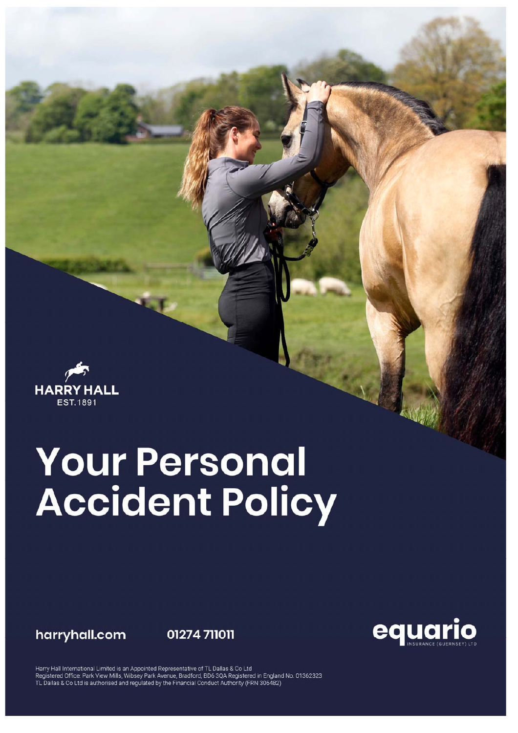

# **Your Personal** Accident Policy

harryhall.com





Harry Hall International Limited is an Appointed Representative of TL Dallas & Co Ltd<br>Registered Office: Park View Mills, Wibsey Park Avenue, Bradford, BD6 3QA Registered in England No. 01362323<br>TL Dallas & Co Ltd is autho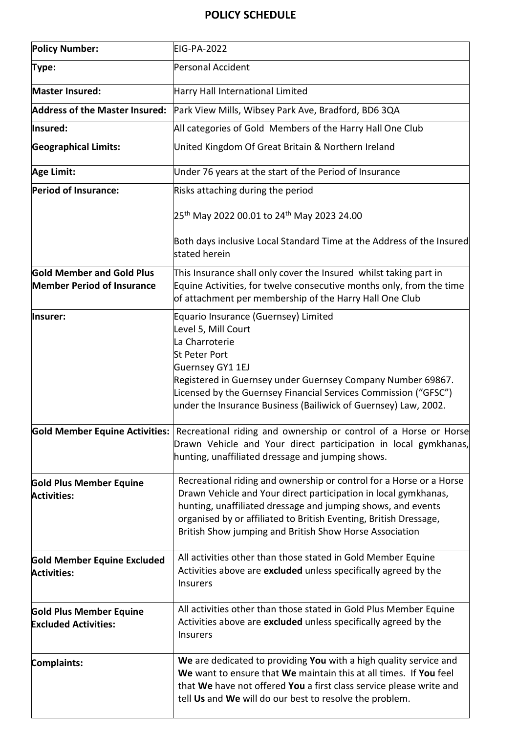# **POLICY SCHEDULE**

| <b>Policy Number:</b>                                                 | EIG-PA-2022                                                                                                                                                                                                                                                                                                                            |
|-----------------------------------------------------------------------|----------------------------------------------------------------------------------------------------------------------------------------------------------------------------------------------------------------------------------------------------------------------------------------------------------------------------------------|
| Type:                                                                 | Personal Accident                                                                                                                                                                                                                                                                                                                      |
| <b>Master Insured:</b>                                                | Harry Hall International Limited                                                                                                                                                                                                                                                                                                       |
| <b>Address of the Master Insured:</b>                                 | Park View Mills, Wibsey Park Ave, Bradford, BD6 3QA                                                                                                                                                                                                                                                                                    |
| Insured:                                                              | All categories of Gold Members of the Harry Hall One Club                                                                                                                                                                                                                                                                              |
| <b>Geographical Limits:</b>                                           | United Kingdom Of Great Britain & Northern Ireland                                                                                                                                                                                                                                                                                     |
| <b>Age Limit:</b>                                                     | Under 76 years at the start of the Period of Insurance                                                                                                                                                                                                                                                                                 |
| Period of Insurance:                                                  | Risks attaching during the period                                                                                                                                                                                                                                                                                                      |
|                                                                       | 25 <sup>th</sup> May 2022 00.01 to 24 <sup>th</sup> May 2023 24.00                                                                                                                                                                                                                                                                     |
|                                                                       | Both days inclusive Local Standard Time at the Address of the Insured<br>stated herein                                                                                                                                                                                                                                                 |
| <b>Gold Member and Gold Plus</b><br><b>Member Period of Insurance</b> | This Insurance shall only cover the Insured whilst taking part in<br>Equine Activities, for twelve consecutive months only, from the time<br>of attachment per membership of the Harry Hall One Club                                                                                                                                   |
| Insurer:                                                              | Equario Insurance (Guernsey) Limited<br>Level 5, Mill Court<br>La Charroterie<br>St Peter Port<br><b>Guernsey GY1 1EJ</b><br>Registered in Guernsey under Guernsey Company Number 69867.<br>Licensed by the Guernsey Financial Services Commission ("GFSC")<br>under the Insurance Business (Bailiwick of Guernsey) Law, 2002.         |
|                                                                       | Gold Member Equine Activities: Recreational riding and ownership or control of a Horse or Horse<br>Drawn Vehicle and Your direct participation in local gymkhanas,<br>hunting, unaffiliated dressage and jumping shows.                                                                                                                |
| <b>Gold Plus Member Equine</b><br><b>Activities:</b>                  | Recreational riding and ownership or control for a Horse or a Horse<br>Drawn Vehicle and Your direct participation in local gymkhanas,<br>hunting, unaffiliated dressage and jumping shows, and events<br>organised by or affiliated to British Eventing, British Dressage,<br>British Show jumping and British Show Horse Association |
| <b>Gold Member Equine Excluded</b><br><b>Activities:</b>              | All activities other than those stated in Gold Member Equine<br>Activities above are excluded unless specifically agreed by the<br>Insurers                                                                                                                                                                                            |
| <b>Gold Plus Member Equine</b><br><b>Excluded Activities:</b>         | All activities other than those stated in Gold Plus Member Equine<br>Activities above are excluded unless specifically agreed by the<br>Insurers                                                                                                                                                                                       |
| Complaints:                                                           | We are dedicated to providing You with a high quality service and<br>We want to ensure that We maintain this at all times. If You feel<br>that We have not offered You a first class service please write and<br>tell Us and We will do our best to resolve the problem.                                                               |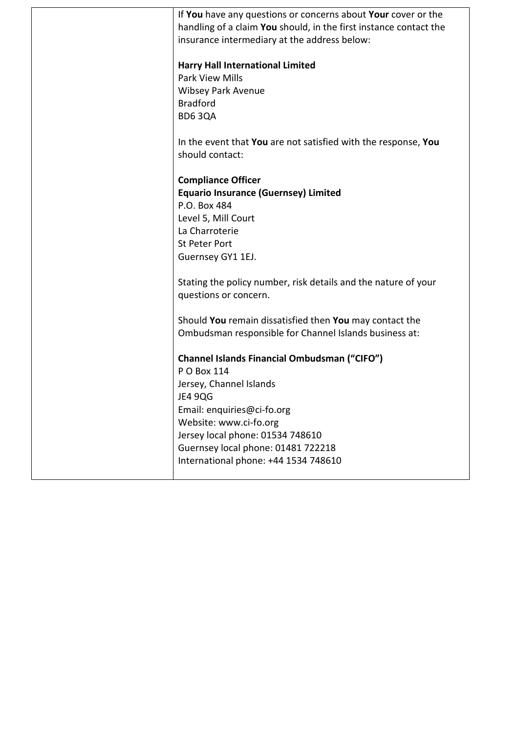| If You have any questions or concerns about Your cover or the<br>handling of a claim You should, in the first instance contact the<br>insurance intermediary at the address below: |
|------------------------------------------------------------------------------------------------------------------------------------------------------------------------------------|
| <b>Harry Hall International Limited</b>                                                                                                                                            |
| <b>Park View Mills</b>                                                                                                                                                             |
| <b>Wibsey Park Avenue</b>                                                                                                                                                          |
| <b>Bradford</b>                                                                                                                                                                    |
| <b>BD6 3QA</b>                                                                                                                                                                     |
| In the event that You are not satisfied with the response, You<br>should contact:                                                                                                  |
| <b>Compliance Officer</b>                                                                                                                                                          |
| <b>Equario Insurance (Guernsey) Limited</b>                                                                                                                                        |
| P.O. Box 484                                                                                                                                                                       |
| Level 5, Mill Court                                                                                                                                                                |
| La Charroterie                                                                                                                                                                     |
| <b>St Peter Port</b>                                                                                                                                                               |
| Guernsey GY1 1EJ.                                                                                                                                                                  |
| Stating the policy number, risk details and the nature of your                                                                                                                     |
| questions or concern.                                                                                                                                                              |
| Should You remain dissatisfied then You may contact the                                                                                                                            |
| Ombudsman responsible for Channel Islands business at:                                                                                                                             |
| <b>Channel Islands Financial Ombudsman ("CIFO")</b>                                                                                                                                |
| P O Box 114                                                                                                                                                                        |
| Jersey, Channel Islands                                                                                                                                                            |
| <b>JE4 9QG</b>                                                                                                                                                                     |
| Email: enquiries@ci-fo.org                                                                                                                                                         |
| Website: www.ci-fo.org<br>Jersey local phone: 01534 748610                                                                                                                         |
| Guernsey local phone: 01481 722218                                                                                                                                                 |
| International phone: +44 1534 748610                                                                                                                                               |
|                                                                                                                                                                                    |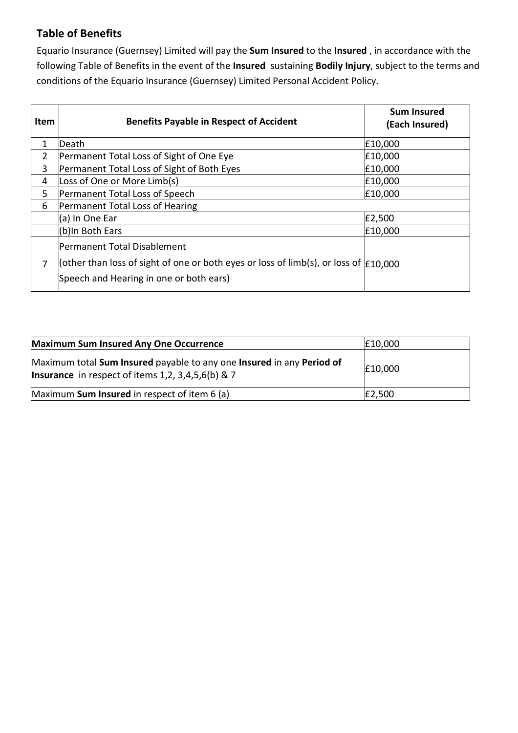# **Table of Benefits**

Equario Insurance (Guernsey) Limited will pay the **Sum Insured** to the **Insured** , in accordance with the following Table of Benefits in the event of the **Insured** sustaining **Bodily Injury**, subject to the terms and conditions of the Equario Insurance (Guernsey) Limited Personal Accident Policy.

| <b>Item</b> | <b>Benefits Payable in Respect of Accident</b>                                           | <b>Sum Insured</b><br>(Each Insured) |
|-------------|------------------------------------------------------------------------------------------|--------------------------------------|
| 1           | Death                                                                                    | £10,000                              |
| 2           | Permanent Total Loss of Sight of One Eye                                                 | £10,000                              |
| 3           | Permanent Total Loss of Sight of Both Eyes                                               | £10,000                              |
| 4           | Loss of One or More Limb(s)                                                              | £10,000                              |
| 5           | Permanent Total Loss of Speech                                                           | £10,000                              |
| 6           | Permanent Total Loss of Hearing                                                          |                                      |
|             | (a) In One Ear                                                                           | £2,500                               |
|             | (b)In Both Ears                                                                          | £10,000                              |
|             | Permanent Total Disablement                                                              |                                      |
| 7           | (other than loss of sight of one or both eyes or loss of limb(s), or loss of $f(10,000)$ |                                      |
|             | Speech and Hearing in one or both ears)                                                  |                                      |

| Maximum Sum Insured Any One Occurrence                                                                                             | £10,000 |
|------------------------------------------------------------------------------------------------------------------------------------|---------|
| Maximum total Sum Insured payable to any one Insured in any Period of<br><b>Insurance</b> in respect of items $1,2,3,4,5,6(b)$ & 7 | £10,000 |
| Maximum Sum Insured in respect of item 6 (a)                                                                                       | £2,500  |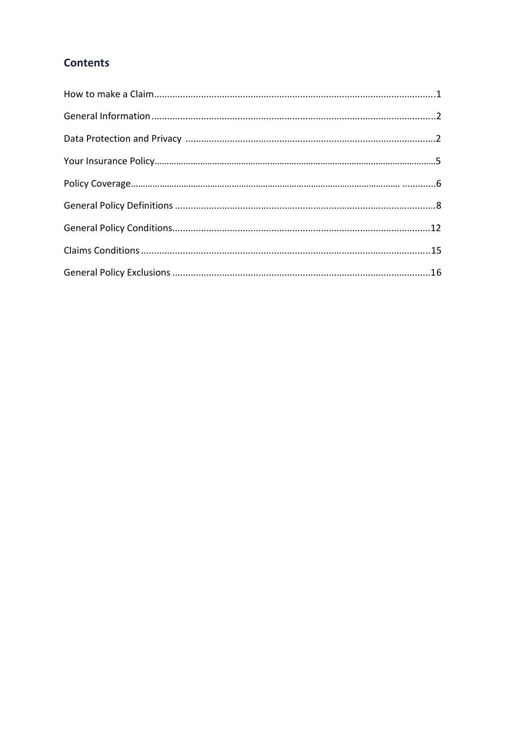# **Contents**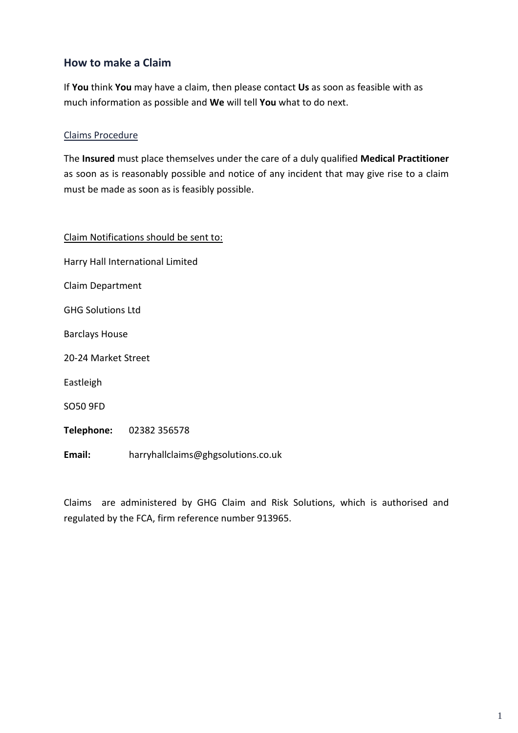## **How to make a Claim**

If **You** think **You** may have a claim, then please contact **Us** as soon as feasible with as much information as possible and **We** will tell **You** what to do next.

## Claims Procedure

The **Insured** must place themselves under the care of a duly qualified **Medical Practitioner** as soon as is reasonably possible and notice of any incident that may give rise to a claim must be made as soon as is feasibly possible.

| Claim Notifications should be sent to: |
|----------------------------------------|
| Harry Hall International Limited       |
| Claim Department                       |
| <b>GHG Solutions Ltd</b>               |
| <b>Barclays House</b>                  |
| 20-24 Market Street                    |
| Eastleigh                              |
| SO50 9FD                               |
| Telephone: 02382 356578                |
|                                        |

**Email:** harryhallclaims@ghgsolutions.co.uk

Claims are administered by GHG Claim and Risk Solutions, which is authorised and regulated by the FCA, firm reference number 913965.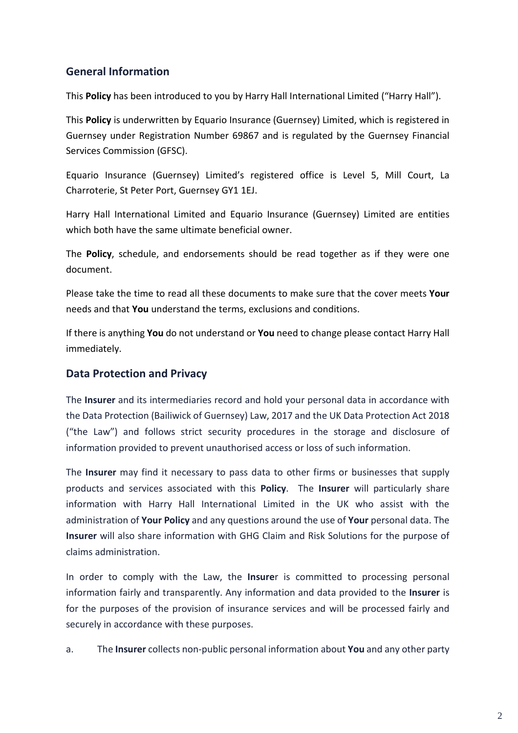# **General Information**

This **Policy** has been introduced to you by Harry Hall International Limited ("Harry Hall").

This **Policy** is underwritten by Equario Insurance (Guernsey) Limited, which is registered in Guernsey under Registration Number 69867 and is regulated by the Guernsey Financial Services Commission (GFSC).

Equario Insurance (Guernsey) Limited's registered office is Level 5, Mill Court, La Charroterie, St Peter Port, Guernsey GY1 1EJ.

Harry Hall International Limited and Equario Insurance (Guernsey) Limited are entities which both have the same ultimate beneficial owner.

The **Policy**, schedule, and endorsements should be read together as if they were one document.

Please take the time to read all these documents to make sure that the cover meets **Your** needs and that **You** understand the terms, exclusions and conditions.

If there is anything **You** do not understand or **You** need to change please contact Harry Hall immediately.

## **Data Protection and Privacy**

The **Insurer** and its intermediaries record and hold your personal data in accordance with the Data Protection (Bailiwick of Guernsey) Law, 2017 and the UK Data Protection Act 2018 ("the Law") and follows strict security procedures in the storage and disclosure of information provided to prevent unauthorised access or loss of such information.

The **Insurer** may find it necessary to pass data to other firms or businesses that supply products and services associated with this **Policy**. The **Insurer** will particularly share information with Harry Hall International Limited in the UK who assist with the administration of **Your Policy** and any questions around the use of **Your** personal data. The **Insurer** will also share information with GHG Claim and Risk Solutions for the purpose of claims administration.

In order to comply with the Law, the **Insure**r is committed to processing personal information fairly and transparently. Any information and data provided to the **Insurer** is for the purposes of the provision of insurance services and will be processed fairly and securely in accordance with these purposes.

a. The **Insurer** collects non-public personal information about **You** and any other party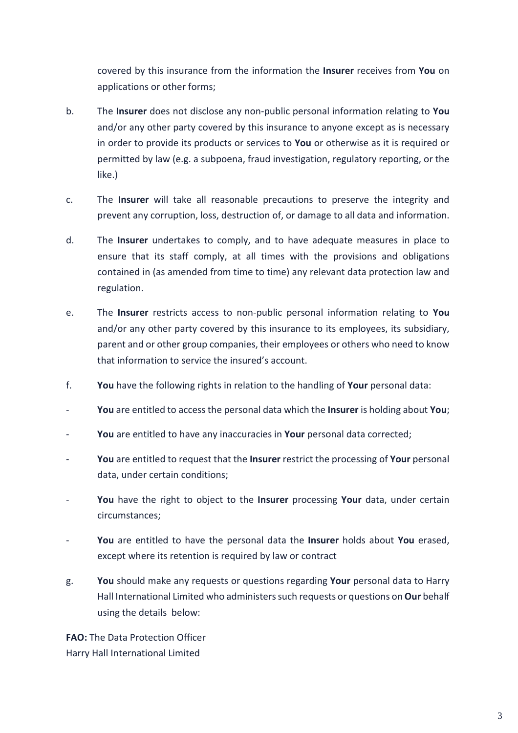covered by this insurance from the information the **Insurer** receives from **You** on applications or other forms;

- b. The **Insurer** does not disclose any non-public personal information relating to **You** and/or any other party covered by this insurance to anyone except as is necessary in order to provide its products or services to **You** or otherwise as it is required or permitted by law (e.g. a subpoena, fraud investigation, regulatory reporting, or the like.)
- c. The **Insurer** will take all reasonable precautions to preserve the integrity and prevent any corruption, loss, destruction of, or damage to all data and information.
- d. The **Insurer** undertakes to comply, and to have adequate measures in place to ensure that its staff comply, at all times with the provisions and obligations contained in (as amended from time to time) any relevant data protection law and regulation.
- e. The **Insurer** restricts access to non-public personal information relating to **You** and/or any other party covered by this insurance to its employees, its subsidiary, parent and or other group companies, their employees or others who need to know that information to service the insured's account.
- f. **You** have the following rights in relation to the handling of **Your** personal data:
- **You** are entitled to access the personal data which the **Insurer** is holding about **You**;
- **You** are entitled to have any inaccuracies in **Your** personal data corrected;
- **You** are entitled to request that the **Insurer** restrict the processing of **Your** personal data, under certain conditions;
- You have the right to object to the Insurer processing Your data, under certain circumstances;
- **You** are entitled to have the personal data the **Insurer** holds about **You** erased, except where its retention is required by law or contract
- g. **You** should make any requests or questions regarding **Your** personal data to Harry Hall International Limited who administers such requests or questions on **Our** behalf using the details below:

**FAO:** The Data Protection Officer Harry Hall International Limited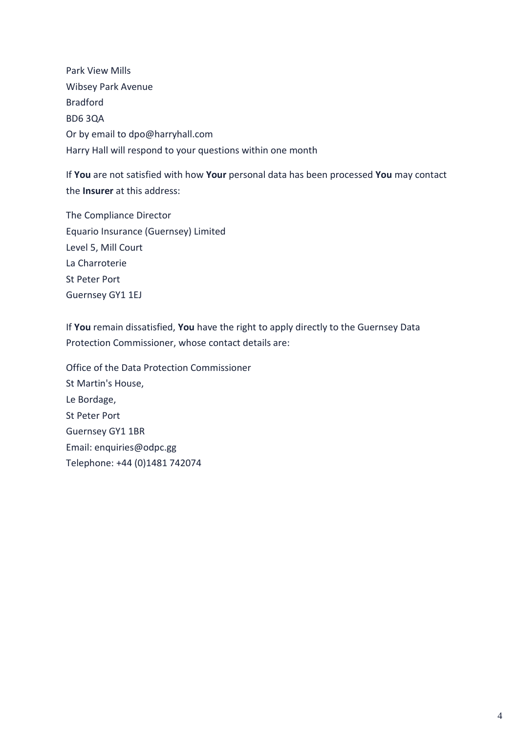Park View Mills Wibsey Park Avenue Bradford BD6 3QA Or by email to dpo@harryhall.com Harry Hall will respond to your questions within one month

If **You** are not satisfied with how **Your** personal data has been processed **You** may contact the **Insurer** at this address:

The Compliance Director Equario Insurance (Guernsey) Limited Level 5, Mill Court La Charroterie St Peter Port Guernsey GY1 1EJ

If **You** remain dissatisfied, **You** have the right to apply directly to the Guernsey Data Protection Commissioner, whose contact details are:

Office of the Data Protection Commissioner St Martin's House, Le Bordage, St Peter Port Guernsey GY1 1BR Email: enquiries@odpc.gg Telephone: +44 (0)1481 742074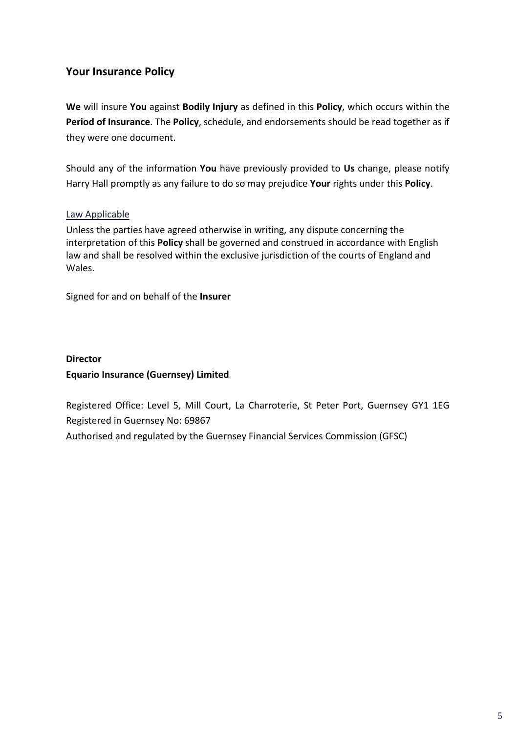# **Your Insurance Policy**

**We** will insure **You** against **Bodily Injury** as defined in this **Policy**, which occurs within the **Period of Insurance**. The **Policy**, schedule, and endorsements should be read together as if they were one document.

Should any of the information **You** have previously provided to **Us** change, please notify Harry Hall promptly as any failure to do so may prejudice **Your** rights under this **Policy**.

## Law Applicable

Unless the parties have agreed otherwise in writing, any dispute concerning the interpretation of this **Policy** shall be governed and construed in accordance with English law and shall be resolved within the exclusive jurisdiction of the courts of England and Wales.

Signed for and on behalf of the **Insurer**

# **Director Equario Insurance (Guernsey) Limited**

Registered Office: Level 5, Mill Court, La Charroterie, St Peter Port, Guernsey GY1 1EG Registered in Guernsey No: 69867 Authorised and regulated by the Guernsey Financial Services Commission (GFSC)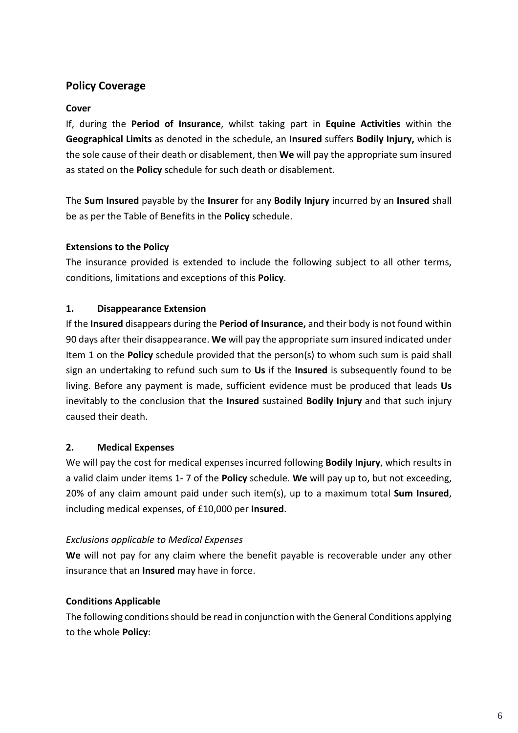# **Policy Coverage**

## **Cover**

If, during the **Period of Insurance**, whilst taking part in **Equine Activities** within the **Geographical Limits** as denoted in the schedule, an **Insured** suffers **Bodily Injury,** which is the sole cause of their death or disablement, then **We** will pay the appropriate sum insured as stated on the **Policy** schedule for such death or disablement.

The **Sum Insured** payable by the **Insurer** for any **Bodily Injury** incurred by an **Insured** shall be as per the Table of Benefits in the **Policy** schedule.

## **Extensions to the Policy**

The insurance provided is extended to include the following subject to all other terms, conditions, limitations and exceptions of this **Policy**.

## **1. Disappearance Extension**

If the **Insured** disappears during the **Period of Insurance,** and their body is not found within 90 days after their disappearance. **We** will pay the appropriate sum insured indicated under Item 1 on the **Policy** schedule provided that the person(s) to whom such sum is paid shall sign an undertaking to refund such sum to **Us** if the **Insured** is subsequently found to be living. Before any payment is made, sufficient evidence must be produced that leads **Us** inevitably to the conclusion that the **Insured** sustained **Bodily Injury** and that such injury caused their death.

## **2. Medical Expenses**

We will pay the cost for medical expenses incurred following **Bodily Injury**, which results in a valid claim under items 1- 7 of the **Policy** schedule. **We** will pay up to, but not exceeding, 20% of any claim amount paid under such item(s), up to a maximum total **Sum Insured**, including medical expenses, of £10,000 per **Insured**.

## *Exclusions applicable to Medical Expenses*

**We** will not pay for any claim where the benefit payable is recoverable under any other insurance that an **Insured** may have in force.

## **Conditions Applicable**

The following conditions should be read in conjunction with the General Conditions applying to the whole **Policy**: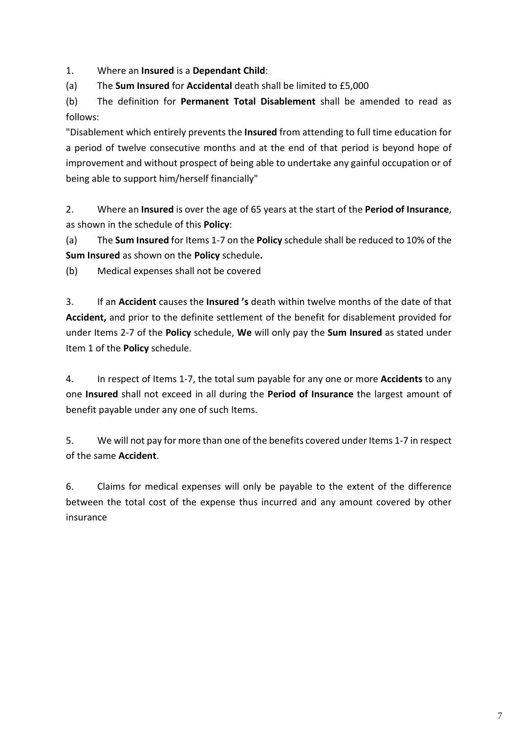1. Where an **Insured** is a **Dependant Child**:

(a) The **Sum Insured** for **Accidental** death shall be limited to £5,000

(b) The definition for **Permanent Total Disablement** shall be amended to read as follows:

"Disablement which entirely prevents the **Insured** from attending to full time education for a period of twelve consecutive months and at the end of that period is beyond hope of improvement and without prospect of being able to undertake any gainful occupation or of being able to support him/herself financially"

2. Where an **Insured** is over the age of 65 years at the start of the **Period of Insurance**, as shown in the schedule of this **Policy**:

(a) The **Sum Insured** for Items 1-7 on the **Policy** schedule shall be reduced to 10% of the **Sum Insured** as shown on the **Policy** schedule**.**

(b) Medical expenses shall not be covered

3. If an **Accident** causes the **Insured 's** death within twelve months of the date of that **Accident,** and prior to the definite settlement of the benefit for disablement provided for under Items 2-7 of the **Policy** schedule, **We** will only pay the **Sum Insured** as stated under Item 1 of the **Policy** schedule.

4. In respect of Items 1-7, the total sum payable for any one or more **Accidents** to any one **Insured** shall not exceed in all during the **Period of Insurance** the largest amount of benefit payable under any one of such Items.

5. We will not pay for more than one of the benefits covered under Items 1-7 in respect of the same **Accident**.

6. Claims for medical expenses will only be payable to the extent of the difference between the total cost of the expense thus incurred and any amount covered by other insurance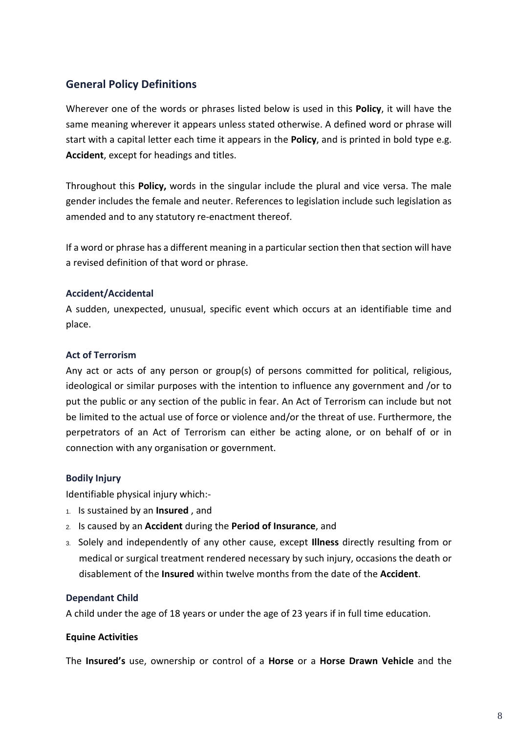# **General Policy Definitions**

Wherever one of the words or phrases listed below is used in this **Policy**, it will have the same meaning wherever it appears unless stated otherwise. A defined word or phrase will start with a capital letter each time it appears in the **Policy**, and is printed in bold type e.g. **Accident**, except for headings and titles.

Throughout this **Policy,** words in the singular include the plural and vice versa. The male gender includes the female and neuter. References to legislation include such legislation as amended and to any statutory re-enactment thereof.

If a word or phrase has a different meaning in a particular section then that section will have a revised definition of that word or phrase.

## **Accident/Accidental**

A sudden, unexpected, unusual, specific event which occurs at an identifiable time and place.

## **Act of Terrorism**

Any act or acts of any person or group(s) of persons committed for political, religious, ideological or similar purposes with the intention to influence any government and /or to put the public or any section of the public in fear. An Act of Terrorism can include but not be limited to the actual use of force or violence and/or the threat of use. Furthermore, the perpetrators of an Act of Terrorism can either be acting alone, or on behalf of or in connection with any organisation or government.

## **Bodily Injury**

Identifiable physical injury which:-

- 1. Is sustained by an **Insured** , and
- 2. Is caused by an **Accident** during the **Period of Insurance**, and
- 3. Solely and independently of any other cause, except **Illness** directly resulting from or medical or surgical treatment rendered necessary by such injury, occasions the death or disablement of the **Insured** within twelve months from the date of the **Accident**.

#### **Dependant Child**

A child under the age of 18 years or under the age of 23 years if in full time education.

## **Equine Activities**

The **Insured's** use, ownership or control of a **Horse** or a **Horse Drawn Vehicle** and the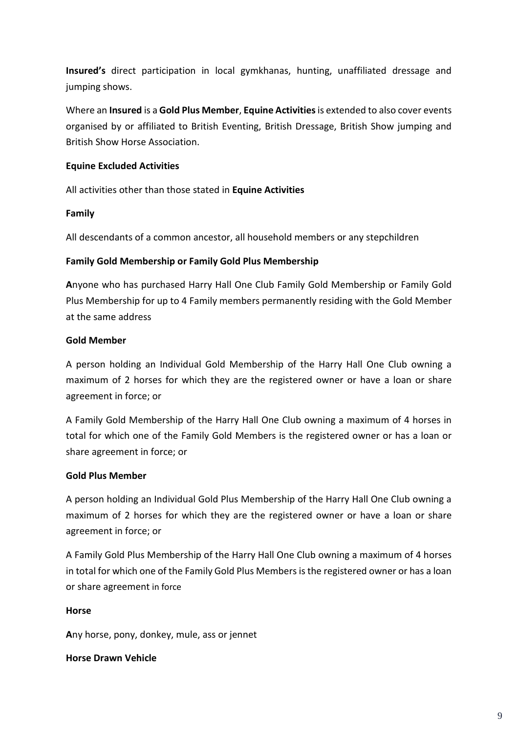**Insured's** direct participation in local gymkhanas, hunting, unaffiliated dressage and jumping shows.

Where an **Insured** is a **Gold Plus Member**, **Equine Activities** is extended to also cover events organised by or affiliated to British Eventing, British Dressage, British Show jumping and British Show Horse Association.

## **Equine Excluded Activities**

All activities other than those stated in **Equine Activities**

## **Family**

All descendants of a common ancestor, all household members or any stepchildren

## **Family Gold Membership or Family Gold Plus Membership**

**A**nyone who has purchased Harry Hall One Club Family Gold Membership or Family Gold Plus Membership for up to 4 Family members permanently residing with the Gold Member at the same address

## **Gold Member**

A person holding an Individual Gold Membership of the Harry Hall One Club owning a maximum of 2 horses for which they are the registered owner or have a loan or share agreement in force; or

A Family Gold Membership of the Harry Hall One Club owning a maximum of 4 horses in total for which one of the Family Gold Members is the registered owner or has a loan or share agreement in force; or

## **Gold Plus Member**

A person holding an Individual Gold Plus Membership of the Harry Hall One Club owning a maximum of 2 horses for which they are the registered owner or have a loan or share agreement in force; or

A Family Gold Plus Membership of the Harry Hall One Club owning a maximum of 4 horses in total for which one of the Family Gold Plus Members is the registered owner or has a loan or share agreement in force

## **Horse**

**A**ny horse, pony, donkey, mule, ass or jennet

## **Horse Drawn Vehicle**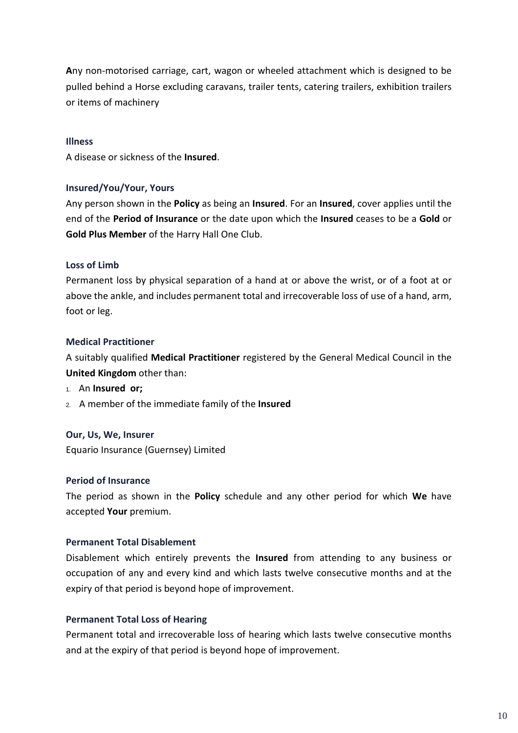**A**ny non-motorised carriage, cart, wagon or wheeled attachment which is designed to be pulled behind a Horse excluding caravans, trailer tents, catering trailers, exhibition trailers or items of machinery

#### **Illness**

A disease or sickness of the **Insured**.

#### **Insured/You/Your, Yours**

Any person shown in the **Policy** as being an **Insured**. For an **Insured**, cover applies until the end of the **Period of Insurance** or the date upon which the **Insured** ceases to be a **Gold** or **Gold Plus Member** of the Harry Hall One Club.

#### **Loss of Limb**

Permanent loss by physical separation of a hand at or above the wrist, or of a foot at or above the ankle, and includes permanent total and irrecoverable loss of use of a hand, arm, foot or leg.

#### **Medical Practitioner**

A suitably qualified **Medical Practitioner** registered by the General Medical Council in the **United Kingdom** other than:

- 1. An **Insured or;**
- 2. A member of the immediate family of the **Insured**

#### **Our, Us, We, Insurer**

Equario Insurance (Guernsey) Limited

#### **Period of Insurance**

The period as shown in the **Policy** schedule and any other period for which **We** have accepted **Your** premium.

#### **Permanent Total Disablement**

Disablement which entirely prevents the **Insured** from attending to any business or occupation of any and every kind and which lasts twelve consecutive months and at the expiry of that period is beyond hope of improvement.

#### **Permanent Total Loss of Hearing**

Permanent total and irrecoverable loss of hearing which lasts twelve consecutive months and at the expiry of that period is beyond hope of improvement.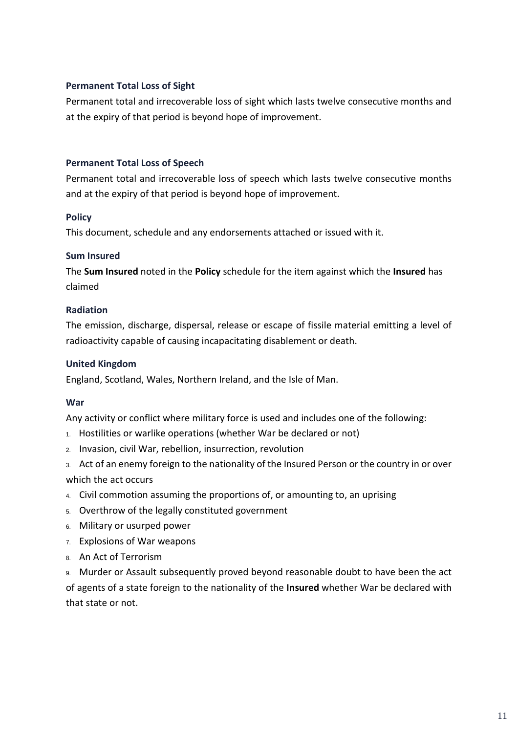## **Permanent Total Loss of Sight**

Permanent total and irrecoverable loss of sight which lasts twelve consecutive months and at the expiry of that period is beyond hope of improvement.

## **Permanent Total Loss of Speech**

Permanent total and irrecoverable loss of speech which lasts twelve consecutive months and at the expiry of that period is beyond hope of improvement.

## **Policy**

This document, schedule and any endorsements attached or issued with it.

## **Sum Insured**

The **Sum Insured** noted in the **Policy** schedule for the item against which the **Insured** has claimed

## **Radiation**

The emission, discharge, dispersal, release or escape of fissile material emitting a level of radioactivity capable of causing incapacitating disablement or death.

## **United Kingdom**

England, Scotland, Wales, Northern Ireland, and the Isle of Man.

## **War**

Any activity or conflict where military force is used and includes one of the following:

- 1. Hostilities or warlike operations (whether War be declared or not)
- 2. Invasion, civil War, rebellion, insurrection, revolution
- 3. Act of an enemy foreign to the nationality of the Insured Person or the country in or over which the act occurs
- 4. Civil commotion assuming the proportions of, or amounting to, an uprising
- 5. Overthrow of the legally constituted government
- 6. Military or usurped power
- 7. Explosions of War weapons
- 8. An Act of Terrorism

9. Murder or Assault subsequently proved beyond reasonable doubt to have been the act of agents of a state foreign to the nationality of the **Insured** whether War be declared with that state or not.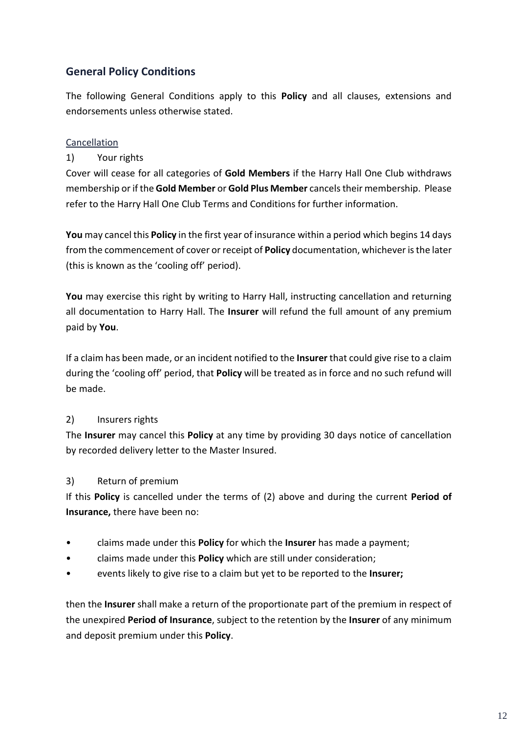# **General Policy Conditions**

The following General Conditions apply to this **Policy** and all clauses, extensions and endorsements unless otherwise stated.

## Cancellation

## 1) Your rights

Cover will cease for all categories of **Gold Members** if the Harry Hall One Club withdraws membership or if the **Gold Member** or **Gold Plus Member** cancels their membership. Please refer to the Harry Hall One Club Terms and Conditions for further information.

**You** may cancel this **Policy** in the first year of insurance within a period which begins 14 days from the commencement of cover or receipt of **Policy** documentation, whichever is the later (this is known as the 'cooling off' period).

**You** may exercise this right by writing to Harry Hall, instructing cancellation and returning all documentation to Harry Hall. The **Insurer** will refund the full amount of any premium paid by **You**.

If a claim has been made, or an incident notified to the **Insurer** that could give rise to a claim during the 'cooling off' period, that **Policy** will be treated as in force and no such refund will be made.

## 2) Insurers rights

The **Insurer** may cancel this **Policy** at any time by providing 30 days notice of cancellation by recorded delivery letter to the Master Insured.

## 3) Return of premium

If this **Policy** is cancelled under the terms of (2) above and during the current **Period of Insurance,** there have been no:

- claims made under this **Policy** for which the **Insurer** has made a payment;
- claims made under this **Policy** which are still under consideration;
- events likely to give rise to a claim but yet to be reported to the **Insurer;**

then the **Insurer** shall make a return of the proportionate part of the premium in respect of the unexpired **Period of Insurance**, subject to the retention by the **Insurer** of any minimum and deposit premium under this **Policy**.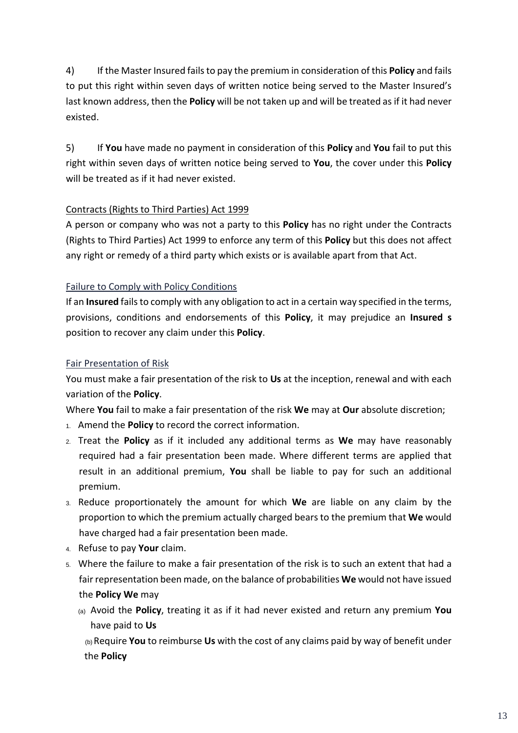4) If the Master Insured fails to pay the premium in consideration of this **Policy** and fails to put this right within seven days of written notice being served to the Master Insured's last known address, then the **Policy** will be not taken up and will be treated as if it had never existed.

5) If **You** have made no payment in consideration of this **Policy** and **You** fail to put this right within seven days of written notice being served to **You**, the cover under this **Policy** will be treated as if it had never existed.

## Contracts (Rights to Third Parties) Act 1999

A person or company who was not a party to this **Policy** has no right under the Contracts (Rights to Third Parties) Act 1999 to enforce any term of this **Policy** but this does not affect any right or remedy of a third party which exists or is available apart from that Act.

## Failure to Comply with Policy Conditions

If an **Insured** fails to comply with any obligation to act in a certain way specified in the terms, provisions, conditions and endorsements of this **Policy**, it may prejudice an **Insured s** position to recover any claim under this **Policy**.

## Fair Presentation of Risk

You must make a fair presentation of the risk to **Us** at the inception, renewal and with each variation of the **Policy**.

Where **You** fail to make a fair presentation of the risk **We** may at **Our** absolute discretion;

- 1. Amend the **Policy** to record the correct information.
- 2. Treat the **Policy** as if it included any additional terms as **We** may have reasonably required had a fair presentation been made. Where different terms are applied that result in an additional premium, **You** shall be liable to pay for such an additional premium.
- 3. Reduce proportionately the amount for which **We** are liable on any claim by the proportion to which the premium actually charged bears to the premium that **We** would have charged had a fair presentation been made.
- 4. Refuse to pay **Your** claim.
- 5. Where the failure to make a fair presentation of the risk is to such an extent that had a fair representation been made, on the balance of probabilities **We** would not have issued the **Policy We** may
	- (a) Avoid the **Policy**, treating it as if it had never existed and return any premium **You** have paid to **Us**

(b) Require **You** to reimburse **Us** with the cost of any claims paid by way of benefit under the **Policy**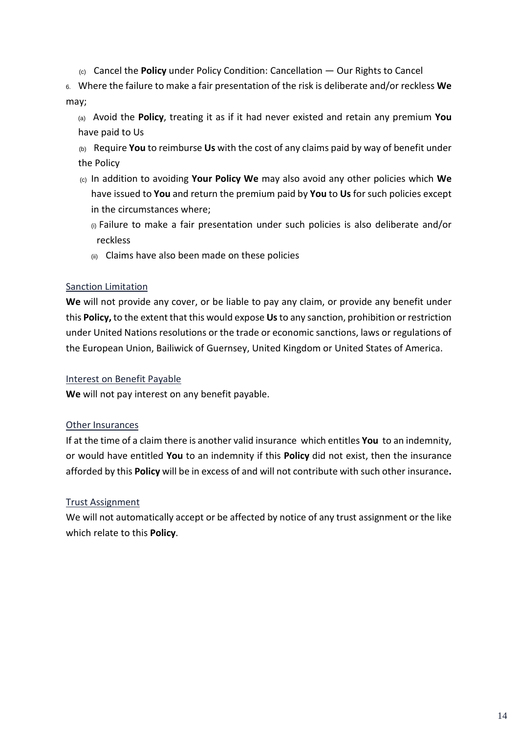(c) Cancel the **Policy** under Policy Condition: Cancellation — Our Rights to Cancel

6. Where the failure to make a fair presentation of the risk is deliberate and/or reckless **We**  may;

(a) Avoid the **Policy**, treating it as if it had never existed and retain any premium **You** have paid to Us

(b) Require **You** to reimburse **Us** with the cost of any claims paid by way of benefit under the Policy

- (c) In addition to avoiding **Your Policy We** may also avoid any other policies which **We** have issued to **You** and return the premium paid by **You** to **Us** for such policies except in the circumstances where;
	- (i) Failure to make a fair presentation under such policies is also deliberate and/or reckless
	- (ii) Claims have also been made on these policies

## Sanction Limitation

**We** will not provide any cover, or be liable to pay any claim, or provide any benefit under this **Policy,** to the extent that this would expose **Us** to any sanction, prohibition or restriction under United Nations resolutions or the trade or economic sanctions, laws or regulations of the European Union, Bailiwick of Guernsey, United Kingdom or United States of America.

## Interest on Benefit Payable

**We** will not pay interest on any benefit payable.

## Other Insurances

If at the time of a claim there is another valid insurance which entitles **You** to an indemnity, or would have entitled **You** to an indemnity if this **Policy** did not exist, then the insurance afforded by this **Policy** will be in excess of and will not contribute with such other insurance**.**

## Trust Assignment

We will not automatically accept or be affected by notice of any trust assignment or the like which relate to this **Policy**.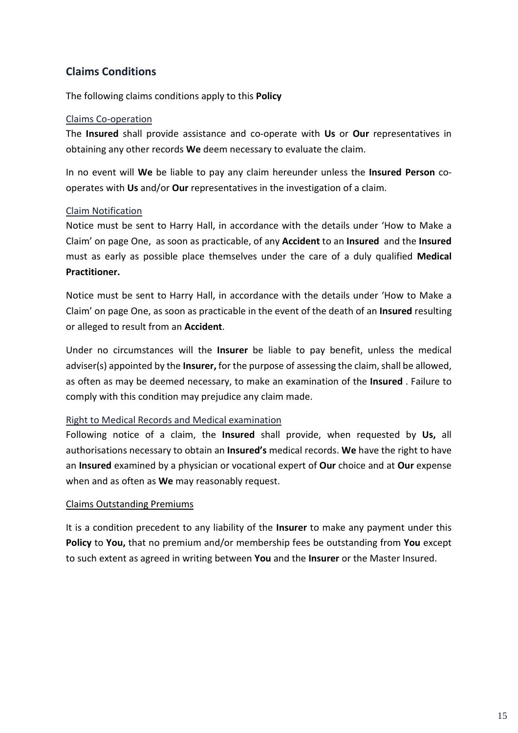# **Claims Conditions**

The following claims conditions apply to this **Policy**

## Claims Co-operation

The **Insured** shall provide assistance and co-operate with **Us** or **Our** representatives in obtaining any other records **We** deem necessary to evaluate the claim.

In no event will **We** be liable to pay any claim hereunder unless the **Insured Person** cooperates with **Us** and/or **Our** representatives in the investigation of a claim.

## Claim Notification

Notice must be sent to Harry Hall, in accordance with the details under 'How to Make a Claim' on page One, as soon as practicable, of any **Accident** to an **Insured** and the **Insured**  must as early as possible place themselves under the care of a duly qualified **Medical Practitioner.**

Notice must be sent to Harry Hall, in accordance with the details under 'How to Make a Claim' on page One, as soon as practicable in the event of the death of an **Insured** resulting or alleged to result from an **Accident**.

Under no circumstances will the **Insurer** be liable to pay benefit, unless the medical adviser(s) appointed by the **Insurer,** for the purpose of assessing the claim, shall be allowed, as often as may be deemed necessary, to make an examination of the **Insured** . Failure to comply with this condition may prejudice any claim made.

#### Right to Medical Records and Medical examination

Following notice of a claim, the **Insured** shall provide, when requested by **Us,** all authorisations necessary to obtain an **Insured's** medical records. **We** have the right to have an **Insured** examined by a physician or vocational expert of **Our** choice and at **Our** expense when and as often as **We** may reasonably request.

## Claims Outstanding Premiums

It is a condition precedent to any liability of the **Insurer** to make any payment under this **Policy** to **You,** that no premium and/or membership fees be outstanding from **You** except to such extent as agreed in writing between **You** and the **Insurer** or the Master Insured.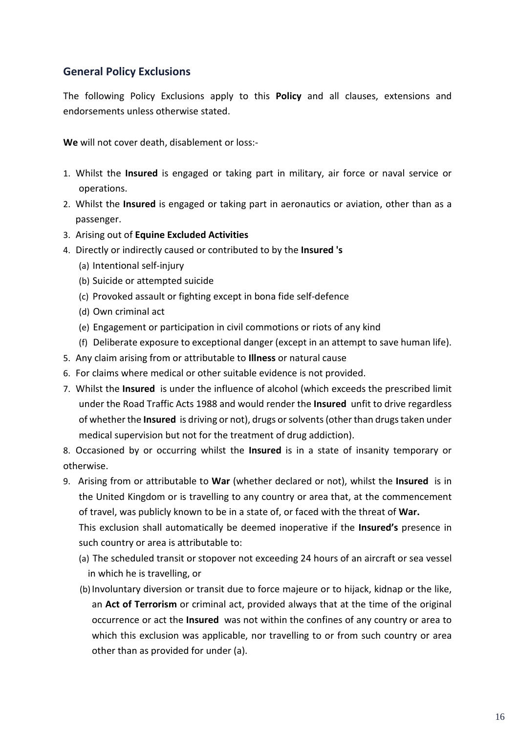# **General Policy Exclusions**

The following Policy Exclusions apply to this **Policy** and all clauses, extensions and endorsements unless otherwise stated.

**We** will not cover death, disablement or loss:-

- 1. Whilst the **Insured** is engaged or taking part in military, air force or naval service or operations.
- 2. Whilst the **Insured** is engaged or taking part in aeronautics or aviation, other than as a passenger.
- 3. Arising out of **Equine Excluded Activities**
- 4. Directly or indirectly caused or contributed to by the **Insured 's**
	- (a) Intentional self-injury
	- (b) Suicide or attempted suicide
	- (c) Provoked assault or fighting except in bona fide self-defence
	- (d) Own criminal act
	- (e) Engagement or participation in civil commotions or riots of any kind
	- (f) Deliberate exposure to exceptional danger (except in an attempt to save human life).
- 5. Any claim arising from or attributable to **Illness** or natural cause
- 6. For claims where medical or other suitable evidence is not provided.
- 7. Whilst the **Insured** is under the influence of alcohol (which exceeds the prescribed limit under the Road Traffic Acts 1988 and would render the **Insured** unfit to drive regardless of whether the **Insured** is driving or not), drugs or solvents (other than drugs taken under medical supervision but not for the treatment of drug addiction).

8. Occasioned by or occurring whilst the **Insured** is in a state of insanity temporary or otherwise.

9. Arising from or attributable to **War** (whether declared or not), whilst the **Insured** is in the United Kingdom or is travelling to any country or area that, at the commencement of travel, was publicly known to be in a state of, or faced with the threat of **War.**

This exclusion shall automatically be deemed inoperative if the **Insured's** presence in such country or area is attributable to:

- (a) The scheduled transit or stopover not exceeding 24 hours of an aircraft or sea vessel in which he is travelling, or
- (b)Involuntary diversion or transit due to force majeure or to hijack, kidnap or the like, an **Act of Terrorism** or criminal act, provided always that at the time of the original occurrence or act the **Insured** was not within the confines of any country or area to which this exclusion was applicable, nor travelling to or from such country or area other than as provided for under (a).